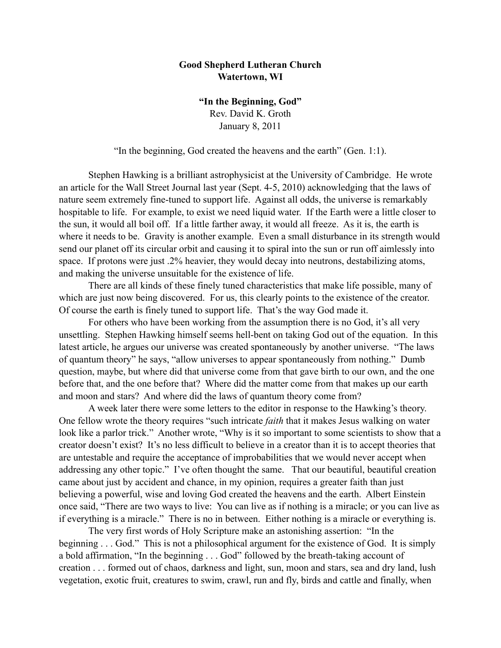## **Good Shepherd Lutheran Church Watertown, WI**

**"In the Beginning, God"** Rev. David K. Groth January 8, 2011

"In the beginning, God created the heavens and the earth" (Gen. 1:1).

 Stephen Hawking is a brilliant astrophysicist at the University of Cambridge. He wrote an article for the Wall Street Journal last year (Sept. 4-5, 2010) acknowledging that the laws of nature seem extremely fine-tuned to support life. Against all odds, the universe is remarkably hospitable to life. For example, to exist we need liquid water. If the Earth were a little closer to the sun, it would all boil off. If a little farther away, it would all freeze. As it is, the earth is where it needs to be. Gravity is another example. Even a small disturbance in its strength would send our planet off its circular orbit and causing it to spiral into the sun or run off aimlessly into space. If protons were just .2% heavier, they would decay into neutrons, destabilizing atoms, and making the universe unsuitable for the existence of life.

There are all kinds of these finely tuned characteristics that make life possible, many of which are just now being discovered. For us, this clearly points to the existence of the creator. Of course the earth is finely tuned to support life. That's the way God made it.

For others who have been working from the assumption there is no God, it's all very unsettling. Stephen Hawking himself seems hell-bent on taking God out of the equation. In this latest article, he argues our universe was created spontaneously by another universe. "The laws of quantum theory" he says, "allow universes to appear spontaneously from nothing." Dumb question, maybe, but where did that universe come from that gave birth to our own, and the one before that, and the one before that? Where did the matter come from that makes up our earth and moon and stars? And where did the laws of quantum theory come from?

A week later there were some letters to the editor in response to the Hawking's theory. One fellow wrote the theory requires "such intricate *faith* that it makes Jesus walking on water look like a parlor trick." Another wrote, "Why is it so important to some scientists to show that a creator doesn't exist? It's no less difficult to believe in a creator than it is to accept theories that are untestable and require the acceptance of improbabilities that we would never accept when addressing any other topic." I've often thought the same. That our beautiful, beautiful creation came about just by accident and chance, in my opinion, requires a greater faith than just believing a powerful, wise and loving God created the heavens and the earth. Albert Einstein once said, "There are two ways to live: You can live as if nothing is a miracle; or you can live as if everything is a miracle." There is no in between. Either nothing is a miracle or everything is.

The very first words of Holy Scripture make an astonishing assertion: "In the beginning . . . God." This is not a philosophical argument for the existence of God. It is simply a bold affirmation, "In the beginning . . . God" followed by the breath-taking account of creation . . . formed out of chaos, darkness and light, sun, moon and stars, sea and dry land, lush vegetation, exotic fruit, creatures to swim, crawl, run and fly, birds and cattle and finally, when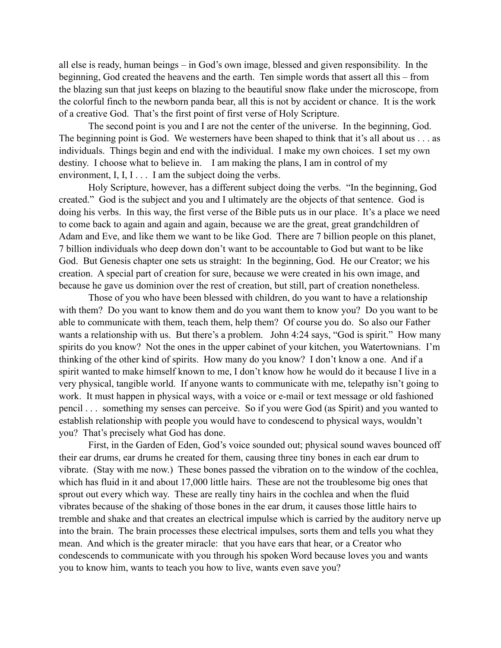all else is ready, human beings – in God's own image, blessed and given responsibility. In the beginning, God created the heavens and the earth. Ten simple words that assert all this – from the blazing sun that just keeps on blazing to the beautiful snow flake under the microscope, from the colorful finch to the newborn panda bear, all this is not by accident or chance. It is the work of a creative God. That's the first point of first verse of Holy Scripture.

The second point is you and I are not the center of the universe. In the beginning, God. The beginning point is God. We westerners have been shaped to think that it's all about us . . . as individuals. Things begin and end with the individual. I make my own choices. I set my own destiny. I choose what to believe in. I am making the plans, I am in control of my environment,  $I, I, I, \ldots$  I am the subject doing the verbs.

Holy Scripture, however, has a different subject doing the verbs. "In the beginning, God created." God is the subject and you and I ultimately are the objects of that sentence. God is doing his verbs. In this way, the first verse of the Bible puts us in our place. It's a place we need to come back to again and again and again, because we are the great, great grandchildren of Adam and Eve, and like them we want to be like God. There are 7 billion people on this planet, 7 billion individuals who deep down don't want to be accountable to God but want to be like God. But Genesis chapter one sets us straight: In the beginning, God. He our Creator; we his creation. A special part of creation for sure, because we were created in his own image, and because he gave us dominion over the rest of creation, but still, part of creation nonetheless.

Those of you who have been blessed with children, do you want to have a relationship with them? Do you want to know them and do you want them to know you? Do you want to be able to communicate with them, teach them, help them? Of course you do. So also our Father wants a relationship with us. But there's a problem. John 4:24 says, "God is spirit." How many spirits do you know? Not the ones in the upper cabinet of your kitchen, you Watertownians. I'm thinking of the other kind of spirits. How many do you know? I don't know a one. And if a spirit wanted to make himself known to me, I don't know how he would do it because I live in a very physical, tangible world. If anyone wants to communicate with me, telepathy isn't going to work. It must happen in physical ways, with a voice or e-mail or text message or old fashioned pencil . . . something my senses can perceive. So if you were God (as Spirit) and you wanted to establish relationship with people you would have to condescend to physical ways, wouldn't you? That's precisely what God has done.

First, in the Garden of Eden, God's voice sounded out; physical sound waves bounced off their ear drums, ear drums he created for them, causing three tiny bones in each ear drum to vibrate. (Stay with me now.) These bones passed the vibration on to the window of the cochlea, which has fluid in it and about 17,000 little hairs. These are not the troublesome big ones that sprout out every which way. These are really tiny hairs in the cochlea and when the fluid vibrates because of the shaking of those bones in the ear drum, it causes those little hairs to tremble and shake and that creates an electrical impulse which is carried by the auditory nerve up into the brain. The brain processes these electrical impulses, sorts them and tells you what they mean. And which is the greater miracle: that you have ears that hear, or a Creator who condescends to communicate with you through his spoken Word because loves you and wants you to know him, wants to teach you how to live, wants even save you?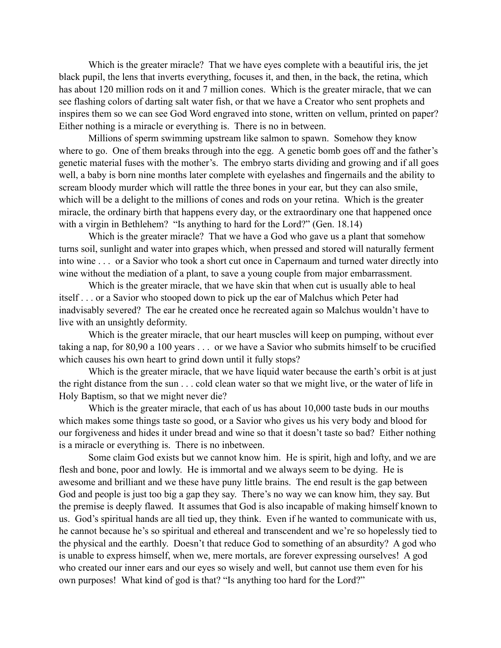Which is the greater miracle? That we have eyes complete with a beautiful iris, the jet black pupil, the lens that inverts everything, focuses it, and then, in the back, the retina, which has about 120 million rods on it and 7 million cones. Which is the greater miracle, that we can see flashing colors of darting salt water fish, or that we have a Creator who sent prophets and inspires them so we can see God Word engraved into stone, written on vellum, printed on paper? Either nothing is a miracle or everything is. There is no in between.

Millions of sperm swimming upstream like salmon to spawn. Somehow they know where to go. One of them breaks through into the egg. A genetic bomb goes off and the father's genetic material fuses with the mother's. The embryo starts dividing and growing and if all goes well, a baby is born nine months later complete with eyelashes and fingernails and the ability to scream bloody murder which will rattle the three bones in your ear, but they can also smile, which will be a delight to the millions of cones and rods on your retina. Which is the greater miracle, the ordinary birth that happens every day, or the extraordinary one that happened once with a virgin in Bethlehem? "Is anything to hard for the Lord?" (Gen. 18.14)

Which is the greater miracle? That we have a God who gave us a plant that somehow turns soil, sunlight and water into grapes which, when pressed and stored will naturally ferment into wine . . . or a Savior who took a short cut once in Capernaum and turned water directly into wine without the mediation of a plant, to save a young couple from major embarrassment.

Which is the greater miracle, that we have skin that when cut is usually able to heal itself . . . or a Savior who stooped down to pick up the ear of Malchus which Peter had inadvisably severed? The ear he created once he recreated again so Malchus wouldn't have to live with an unsightly deformity.

Which is the greater miracle, that our heart muscles will keep on pumping, without ever taking a nap, for 80,90 a 100 years . . . or we have a Savior who submits himself to be crucified which causes his own heart to grind down until it fully stops?

Which is the greater miracle, that we have liquid water because the earth's orbit is at just the right distance from the sun . . . cold clean water so that we might live, or the water of life in Holy Baptism, so that we might never die?

Which is the greater miracle, that each of us has about 10,000 taste buds in our mouths which makes some things taste so good, or a Savior who gives us his very body and blood for our forgiveness and hides it under bread and wine so that it doesn't taste so bad? Either nothing is a miracle or everything is. There is no inbetween.

Some claim God exists but we cannot know him. He is spirit, high and lofty, and we are flesh and bone, poor and lowly. He is immortal and we always seem to be dying. He is awesome and brilliant and we these have puny little brains. The end result is the gap between God and people is just too big a gap they say. There's no way we can know him, they say. But the premise is deeply flawed. It assumes that God is also incapable of making himself known to us. God's spiritual hands are all tied up, they think. Even if he wanted to communicate with us, he cannot because he's so spiritual and ethereal and transcendent and we're so hopelessly tied to the physical and the earthly. Doesn't that reduce God to something of an absurdity? A god who is unable to express himself, when we, mere mortals, are forever expressing ourselves! A god who created our inner ears and our eyes so wisely and well, but cannot use them even for his own purposes! What kind of god is that? "Is anything too hard for the Lord?"